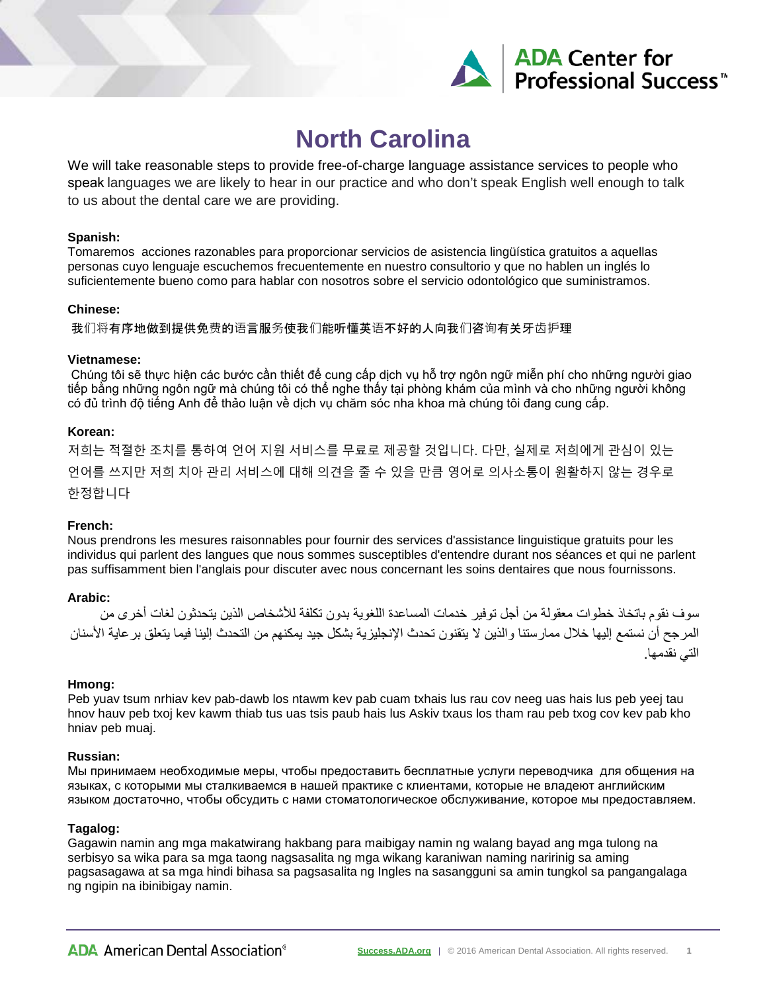

# **North Carolina**

We will take reasonable steps to provide free-of-charge language assistance services to people who speak languages we are likely to hear in our practice and who don't speak English well enough to talk to us about the dental care we are providing.

#### **Spanish:**

Tomaremos acciones razonables para proporcionar servicios de asistencia lingüística gratuitos a aquellas personas cuyo lenguaje escuchemos frecuentemente en nuestro consultorio y que no hablen un inglés lo suficientemente bueno como para hablar con nosotros sobre el servicio odontológico que suministramos.

### **Chinese:**

我们将有序地做到提供免费的语言服务使我们能听懂英语不好的人向我们咨询有关牙齿护理

#### **Vietnamese:**

Chúng tôi sẽ thực hiện các bước cần thiết để cung cấp dịch vụ hỗ trợ ngôn ngữ miễn phí cho những người giao tiếp bằng những ngôn ngữ mà chúng tôi có thể nghe thấy tại phòng khám của mình và cho những người không có đủ trình độ tiếng Anh để thảo luận về dịch vụ chăm sóc nha khoa mà chúng tôi đang cung cấp.

#### **Korean:**

저희는 적절한 조치를 통하여 언어 지원 서비스를 무료로 제공할 것입니다. 다만, 실제로 저희에게 관심이 있는 언어를 쓰지만 저희 치아 관리 서비스에 대해 의견을 줄 수 있을 만큼 영어로 의사소통이 원활하지 않는 경우로 한정합니다

#### **French:**

Nous prendrons les mesures raisonnables pour fournir des services d'assistance linguistique gratuits pour les individus qui parlent des langues que nous sommes susceptibles d'entendre durant nos séances et qui ne parlent pas suffisamment bien l'anglais pour discuter avec nous concernant les soins dentaires que nous fournissons.

#### **Arabic:**

سوف نقوم باتخاذ خطوات معقولة من أجل توفیر خدمات المساعدة اللغویة بدون تكلفة للأشخاص الذین یتحدثون لغات أخرى من المرجح أن نستمع إلیھا خلال ممارستنا والذین لا یتقنون تحدث الإنجلیزیة بشكل جید یمكنھم من التحدث إلینا فیما یتعلق برعایة الأسنان التي نقدمھا.

#### **Hmong:**

Peb yuav tsum nrhiav kev pab-dawb los ntawm kev pab cuam txhais lus rau cov neeg uas hais lus peb yeej tau hnov hauv peb txoj kev kawm thiab tus uas tsis paub hais lus Askiv txaus los tham rau peb txog cov kev pab kho hniav peb muaj.

#### **Russian:**

Мы принимаем необходимые меры, чтобы предоставить бесплатные услуги переводчика для общения на языках, с которыми мы сталкиваемся в нашей практике с клиентами, которые не владеют английским языком достаточно, чтобы обсудить с нами стоматологическое обслуживание, которое мы предоставляем.

#### **Tagalog:**

Gagawin namin ang mga makatwirang hakbang para maibigay namin ng walang bayad ang mga tulong na serbisyo sa wika para sa mga taong nagsasalita ng mga wikang karaniwan naming naririnig sa aming pagsasagawa at sa mga hindi bihasa sa pagsasalita ng Ingles na sasangguni sa amin tungkol sa pangangalaga ng ngipin na ibinibigay namin.